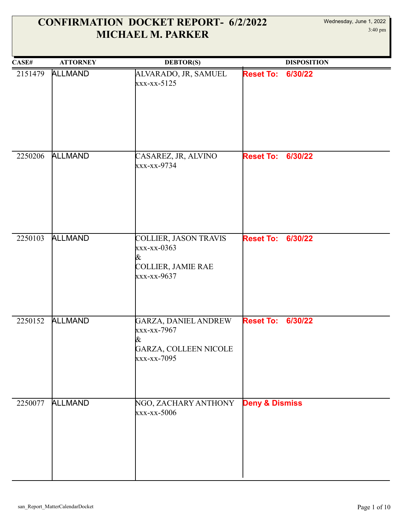| CASEH   | <b>ATTORNEY</b> | <b>DEBTOR(S)</b>                                                                                  |                           | <b>DISPOSITION</b> |
|---------|-----------------|---------------------------------------------------------------------------------------------------|---------------------------|--------------------|
| 2151479 | <b>ALLMAND</b>  | ALVARADO, JR, SAMUEL<br>$\frac{x}{x-x-x-5125}$                                                    | <b>Reset To:</b>          | 6/30/22            |
| 2250206 | <b>ALLMAND</b>  | CASAREZ, JR, ALVINO<br>xxx-xx-9734                                                                | <b>Reset To:</b>          | 6/30/22            |
| 2250103 | <b>ALLMAND</b>  | COLLIER, JASON TRAVIS<br>$\frac{x}{x}-\frac{x-0363}{x}$<br>&<br>COLLIER, JAMIE RAE<br>xxx-xx-9637 | <b>Reset To:</b>          | 6/30/22            |
| 2250152 | <b>ALLMAND</b>  | GARZA, DANIEL ANDREW<br>xxx-xx-7967<br>&<br>GARZA, COLLEEN NICOLE<br>xxx-xx-7095                  | <b>Reset To:</b>          | 6/30/22            |
| 2250077 | <b>ALLMAND</b>  | NGO, ZACHARY ANTHONY<br>xxx-xx-5006                                                               | <b>Deny &amp; Dismiss</b> |                    |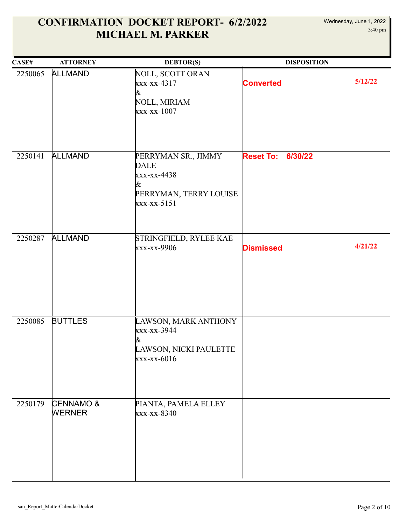| CASE#   | <b>ATTORNEY</b>                       | <b>DEBTOR(S)</b>                                                                                  | <b>DISPOSITION</b>          |         |
|---------|---------------------------------------|---------------------------------------------------------------------------------------------------|-----------------------------|---------|
| 2250065 | <b>ALLMAND</b>                        | NOLL, SCOTT ORAN<br>xxx-xx-4317<br>&<br>NOLL, MIRIAM<br>$\frac{xx - xx - 1007}{x}$                | <b>Converted</b>            | 5/12/22 |
| 2250141 | <b>ALLMAND</b>                        | PERRYMAN SR., JIMMY<br><b>DALE</b><br>xxx-xx-4438<br>&<br>PERRYMAN, TERRY LOUISE<br>$xxx-xx-5151$ | <b>Reset To:</b><br>6/30/22 |         |
| 2250287 | <b>ALLMAND</b>                        | STRINGFIELD, RYLEE KAE<br>xxx-xx-9906                                                             | <b>Dismissed</b>            | 4/21/22 |
| 2250085 | <b>BUTTLES</b>                        | LAWSON, MARK ANTHONY<br>xxx-xx-3944<br>&<br>LAWSON, NICKI PAULETTE<br>$xxx-xx-6016$               |                             |         |
| 2250179 | <b>CENNAMO &amp;</b><br><b>WERNER</b> | PIANTA, PAMELA ELLEY<br>xxx-xx-8340                                                               |                             |         |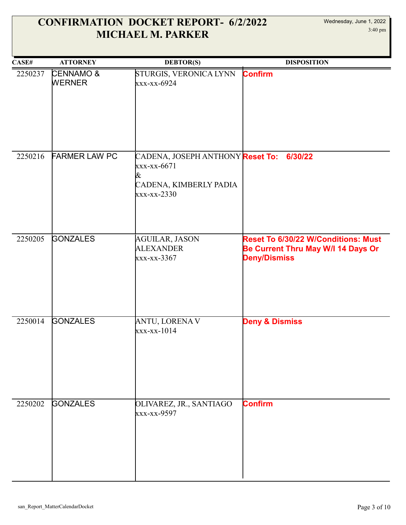| CASE#   | <b>ATTORNEY</b>                       | <b>DEBTOR(S)</b>                                                                                                                      | <b>DISPOSITION</b>                                                                               |
|---------|---------------------------------------|---------------------------------------------------------------------------------------------------------------------------------------|--------------------------------------------------------------------------------------------------|
| 2250237 | <b>CENNAMO &amp;</b><br><b>WERNER</b> | STURGIS, VERONICA LYNN<br>xxx-xx-6924                                                                                                 | <b>Confirm</b>                                                                                   |
| 2250216 | <b>FARMER LAW PC</b>                  | CADENA, JOSEPH ANTHONY <mark>Reset To:</mark><br>xxx-xx-6671<br>&<br>CADENA, KIMBERLY PADIA<br>$\overline{\text{xx}\text{x-x}}$ -2330 | 6/30/22                                                                                          |
| 2250205 | <b>GONZALES</b>                       | <b>AGUILAR, JASON</b><br><b>ALEXANDER</b><br>xxx-xx-3367                                                                              | Reset To 6/30/22 W/Conditions: Must<br>Be Current Thru May W/I 14 Days Or<br><b>Deny/Dismiss</b> |
| 2250014 | <b>GONZALES</b>                       | <b>ANTU, LORENA V</b><br>$\frac{xx - xx - 1014}{x - x}$                                                                               | <b>Deny &amp; Dismiss</b>                                                                        |
| 2250202 | <b>GONZALES</b>                       | OLIVAREZ, JR., SANTIAGO<br>xxx-xx-9597                                                                                                | <b>Confirm</b>                                                                                   |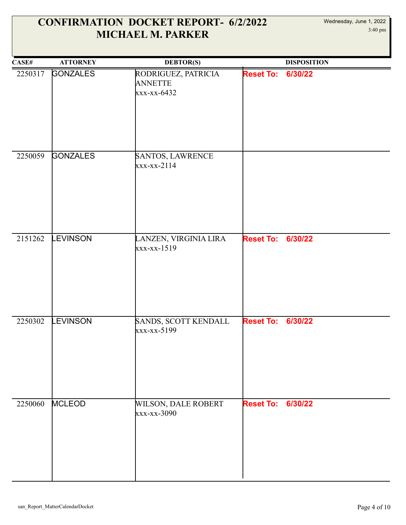| CASE#   | <b>ATTORNEY</b> | <b>DEBTOR(S)</b>                                     |                          | <b>DISPOSITION</b> |
|---------|-----------------|------------------------------------------------------|--------------------------|--------------------|
| 2250317 | <b>GONZALES</b> | RODRIGUEZ, PATRICIA<br><b>ANNETTE</b><br>xxx-xx-6432 | <b>Reset To:</b>         | 6/30/22            |
| 2250059 | <b>GONZALES</b> | SANTOS, LAWRENCE<br>xxx-xx-2114                      |                          |                    |
| 2151262 | <b>EVINSON</b>  | LANZEN, VIRGINIA LIRA<br>xxx-xx-1519                 | <b>Reset To:</b>         | 6/30/22            |
| 2250302 | <b>EVINSON</b>  | SANDS, SCOTT KENDALL<br>xxx-xx-5199                  | <b>Reset To:</b>         | 6/30/22            |
| 2250060 | <b>MCLEOD</b>   | <b>WILSON, DALE ROBERT</b><br>xxx-xx-3090            | <b>Reset To: 6/30/22</b> |                    |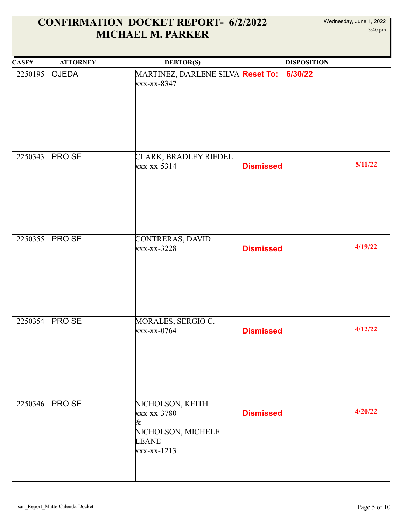| CASEH   | <b>ATTORNEY</b> | <b>DEBTOR(S)</b>                                                                            | <b>DISPOSITION</b>          |
|---------|-----------------|---------------------------------------------------------------------------------------------|-----------------------------|
| 2250195 | <b>OJEDA</b>    | MARTINEZ, DARLENE SILVA <mark>Reset To:</mark><br>xxx-xx-8347                               | 6/30/22                     |
| 2250343 | <b>PROSE</b>    | CLARK, BRADLEY RIEDEL<br>xxx-xx-5314                                                        | 5/11/22<br><b>Dismissed</b> |
| 2250355 | <b>PROSE</b>    | CONTRERAS, DAVID<br>$\frac{xx}{x-x}-3228$                                                   | 4/19/22<br><b>Dismissed</b> |
| 2250354 | <b>PROSE</b>    | MORALES, SERGIO C.<br>xxx-xx-0764                                                           | 4/12/22<br><b>Dismissed</b> |
| 2250346 | <b>PROSE</b>    | NICHOLSON, KEITH<br>xxx-xx-3780<br>&<br>NICHOLSON, MICHELE<br><b>LEANE</b><br>$xxx-xx-1213$ | 4/20/22<br><b>Dismissed</b> |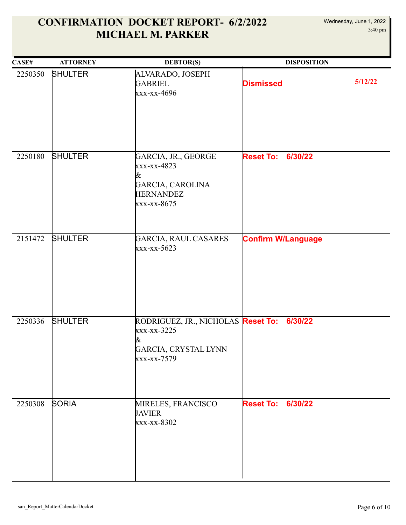| CASE#   | <b>ATTORNEY</b> | <b>DEBTOR(S)</b>                                                                                     | <b>DISPOSITION</b>          |         |
|---------|-----------------|------------------------------------------------------------------------------------------------------|-----------------------------|---------|
| 2250350 | <b>SHULTER</b>  | ALVARADO, JOSEPH<br><b>GABRIEL</b><br>xxx-xx-4696                                                    | <b>Dismissed</b>            | 5/12/22 |
| 2250180 | <b>SHULTER</b>  | GARCIA, JR., GEORGE<br>xxx-xx-4823<br>&<br>GARCIA, CAROLINA<br><b>HERNANDEZ</b><br>xxx-xx-8675       | 6/30/22<br><b>Reset To:</b> |         |
| 2151472 | <b>SHULTER</b>  | <b>GARCIA, RAUL CASARES</b><br>xxx-xx-5623                                                           | <b>Confirm W/Language</b>   |         |
| 2250336 | <b>SHULTER</b>  | RODRIGUEZ, JR., NICHOLAS Reset To:<br>xxx-xx-3225<br>&<br><b>GARCIA, CRYSTAL LYNN</b><br>xxx-xx-7579 | 6/30/22                     |         |
| 2250308 | <b>SORIA</b>    | MIRELES, FRANCISCO<br><b>JAVIER</b><br>xxx-xx-8302                                                   | <b>Reset To: 6/30/22</b>    |         |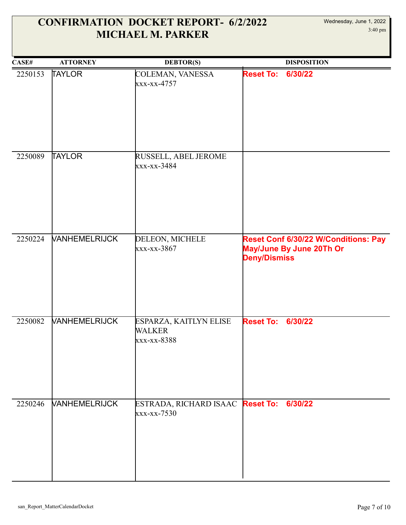| CASE#   | <b>ATTORNEY</b>             | <b>DEBTOR(S)</b>                                       | <b>DISPOSITION</b>                                                                      |
|---------|-----------------------------|--------------------------------------------------------|-----------------------------------------------------------------------------------------|
| 2250153 | <b>TAYLOR</b>               | COLEMAN, VANESSA<br>xxx-xx-4757                        | <b>Reset To:</b><br>6/30/22                                                             |
| 2250089 | <b>TAYLOR</b>               | RUSSELL, ABEL JEROME<br>xxx-xx-3484                    |                                                                                         |
| 2250224 | <b>VANHEMELRIJCK</b>        | DELEON, MICHELE<br>xxx-xx-3867                         | Reset Conf 6/30/22 W/Conditions: Pay<br>May/June By June 20Th Or<br><b>Deny/Dismiss</b> |
| 2250082 | <b><i>VANHEMELRIJCK</i></b> | ESPARZA, KAITLYN ELISE<br><b>WALKER</b><br>xxx-xx-8388 | 6/30/22<br><b>Reset To:</b>                                                             |
| 2250246 | <b>VANHEMELRIJCK</b>        | ESTRADA, RICHARD ISAAC Reset To:<br>xxx-xx-7530        | 6/30/22                                                                                 |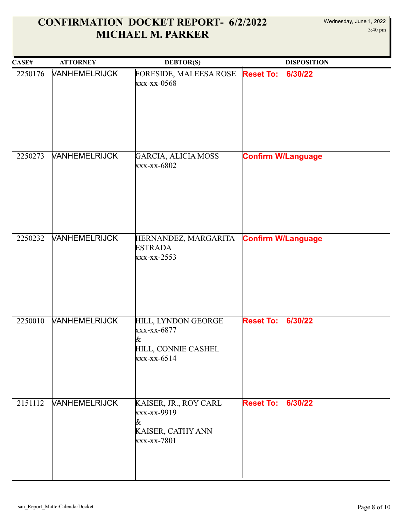| CASE#   | <b>ATTORNEY</b>             | <b>DEBTOR(S)</b>                                                                | <b>DISPOSITION</b>          |
|---------|-----------------------------|---------------------------------------------------------------------------------|-----------------------------|
| 2250176 | <b><i>VANHEMELRIJCK</i></b> | FORESIDE, MALEESA ROSE<br>xxx-xx-0568                                           | <b>Reset To:</b><br>6/30/22 |
| 2250273 | <b>VANHEMELRIJCK</b>        | GARCIA, ALICIA MOSS<br>xxx-xx-6802                                              | <b>Confirm W/Language</b>   |
| 2250232 | <b>VANHEMELRIJCK</b>        | HERNANDEZ, MARGARITA<br><b>ESTRADA</b><br>xxx-xx-2553                           | <b>Confirm W/Language</b>   |
| 2250010 | <b><i>VANHEMELRIJCK</i></b> | HILL, LYNDON GEORGE<br>xxx-xx-6877<br>&<br>HILL, CONNIE CASHEL<br>$xxx-xx-6514$ | <b>Reset To:</b><br>6/30/22 |
| 2151112 | <b>VANHEMELRIJCK</b>        | KAISER, JR., ROY CARL<br>xxx-xx-9919<br>&<br>KAISER, CATHY ANN<br>xxx-xx-7801   | 6/30/22<br><b>Reset To:</b> |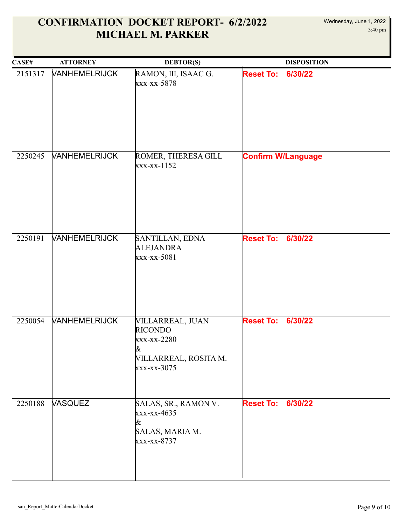| CASE#   | <b>ATTORNEY</b>      | <b>DEBTOR(S)</b>                                                                               | <b>DISPOSITION</b>          |
|---------|----------------------|------------------------------------------------------------------------------------------------|-----------------------------|
| 2151317 | <b>VANHEMELRIJCK</b> | RAMON, III, ISAAC G.<br>xxx-xx-5878                                                            | <b>Reset To:</b><br>6/30/22 |
| 2250245 | <b>VANHEMELRIJCK</b> | ROMER, THERESA GILL<br>$XXX-XX-1152$                                                           | <b>Confirm W/Language</b>   |
| 2250191 | <b>VANHEMELRIJCK</b> | SANTILLAN, EDNA<br><b>ALEJANDRA</b><br>xxx-xx-5081                                             | <b>Reset To:</b><br>6/30/22 |
| 2250054 | <b>VANHEMELRIJCK</b> | VILLARREAL, JUAN<br><b>RICONDO</b><br>xxx-xx-2280<br>&<br>VILLARREAL, ROSITA M.<br>xxx-xx-3075 | 6/30/22<br><b>Reset To:</b> |
| 2250188 | <b>VASQUEZ</b>       | SALAS, SR., RAMON V.<br>xxx-xx-4635<br>&<br>SALAS, MARIA M.<br>xxx-xx-8737                     | <b>Reset To:</b><br>6/30/22 |